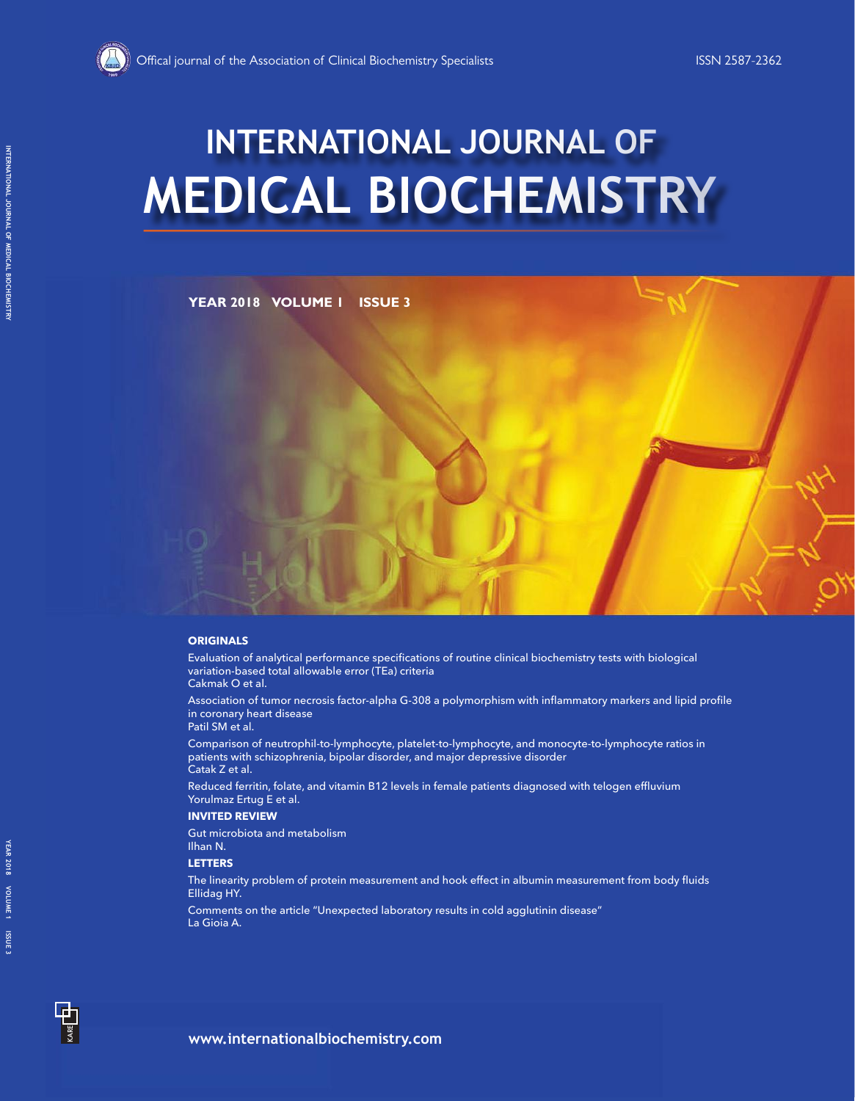# **MEDICAL BIOCHEMISTRY INTERNATIONAL JOURNAL OF**

**YEAR 2018 VOLUME 1 ISSUE 3**

#### **ORIGINALS**

Evaluation of analytical performance specifications of routine clinical biochemistry tests with biological variation-based total allowable error (TEa) criteria Cakmak O et al.

Association of tumor necrosis factor-alpha G-308 a polymorphism with inflammatory markers and lipid profile in coronary heart disease

Patil SM et al.

Comparison of neutrophil-to-lymphocyte, platelet-to-lymphocyte, and monocyte-to-lymphocyte ratios in patients with schizophrenia, bipolar disorder, and major depressive disorder Catak Z et al.

Reduced ferritin, folate, and vitamin B12 levels in female patients diagnosed with telogen effluvium Yorulmaz Ertug E et al.

**INVITED REVIEW**

Gut microbiota and metabolism Ilhan N.

**LETTERS**

The linearity problem of protein measurement and hook effect in albumin measurement from body fluids Ellidag HY.

Comments on the article "Unexpected laboratory results in cold agglutinin disease" La Gioia A.

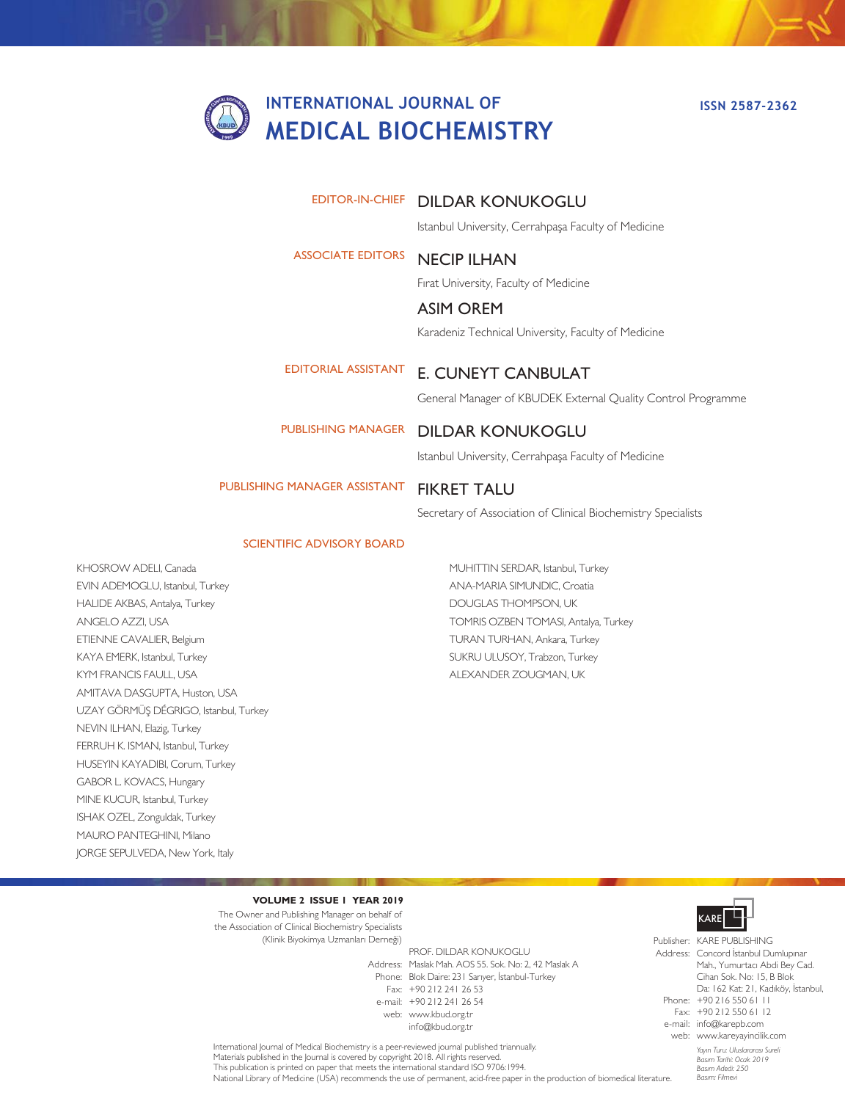## **INTERNATIONAL JOURNAL OF MEDICAL BIOCHEMISTRY**

#### **ISSN 2587-2362**

#### EDITOR-IN-CHIEF DILDAR KONUKOGLU

Istanbul University, Cerrahpaşa Faculty of Medicine

#### NECIP ILHAN ASSOCIATE EDITORS

Fırat University, Faculty of Medicine

E. CUNEYT CANBULAT

#### ASIM OREM

Karadeniz Technical University, Faculty of Medicine

EDITORIAL ASSISTANT

#### General Manager of KBUDEK External Quality Control Programme

### PUBLISHING MANAGER DILDAR KONUKOGLU

Istanbul University, Cerrahpaşa Faculty of Medicine

#### PUBLISHING MANAGER ASSISTANT

FIKRET TALU

Secretary of Association of Clinical Biochemistry Specialists

#### SCIENTIFIC ADVISORY BOARD

KHOSROW ADELI, Canada EVIN ADEMOGLU, Istanbul, Turkey HALIDE AKBAS, Antalya, Turkey ANGELO AZZI, USA ETIENNE CAVALIER, Belgium KAYA EMERK, Istanbul, Turkey KYM FRANCIS FAULL, USA AMITAVA DASGUPTA, Huston, USA UZAY GÖRMÜŞ DÉGRIGO, Istanbul, Turkey NEVIN ILHAN, Elazig, Turkey FERRUH K. ISMAN, Istanbul, Turkey HUSEYIN KAYADIBI, Corum, Turkey GABOR L. KOVACS, Hungary MINE KUCUR, Istanbul, Turkey ISHAK OZEL, Zonguldak, Turkey MAURO PANTEGHINI, Milano JORGE SEPULVEDA, New York, Italy

MUHITTIN SERDAR, Istanbul, Turkey ANA-MARIA SIMUNDIC, Croatia DOUGLAS THOMPSON, UK TOMRIS OZBEN TOMASI, Antalya, Turkey TURAN TURHAN, Ankara, Turkey SUKRU ULUSOY, Trabzon, Turkey ALEXANDER ZOUGMAN, UK

#### **VOLUME 2 ISSUE 1 YEAR 2019**

The Owner and Publishing Manager on behalf of the Association of Clinical Biochemistry Specialists (Klinik Biyokimya Uzmanları Derneği)

Address: Maslak Mah. AOS 55. Sok. No: 2, 42 Maslak A Phone: Blok Daire: 231 Sarıyer, İstanbul-Turkey Fax: +90 212 241 26 53 e-mail: +90 212 241 26 54 web: www.kbud.org.tr PROF. DILDAR KONUKOGLU info@kbud.org.tr



*Basım: Filmevi*

*Yayın Turu: Uluslararası Sureli Basım Tarihi: Ocak 2019 Basım Adedi: 250* Publisher: KARE PUBLISHING Address: Concord İstanbul Dumlupınar Phone: +90 216 550 61 11 Fax: +90 212 550 61 12 e-mail: info@karepb.com web: www.kareyayincilik.com Mah., Yumurtacı Abdi Bey Cad. Cihan Sok. No: 15, B Blok Da: 162 Kat: 21, Kadıköy, İstanbul,

International Journal of Medical Biochemistry is a peer-reviewed journal published triannually. Materials published in the Journal is covered by copyright 2018. All rights reserved. This publication is printed on paper that meets the international standard ISO 9706:1994. National Library of Medicine (USA) recommends the use of permanent, acid-free paper in the production of biomedical literature.